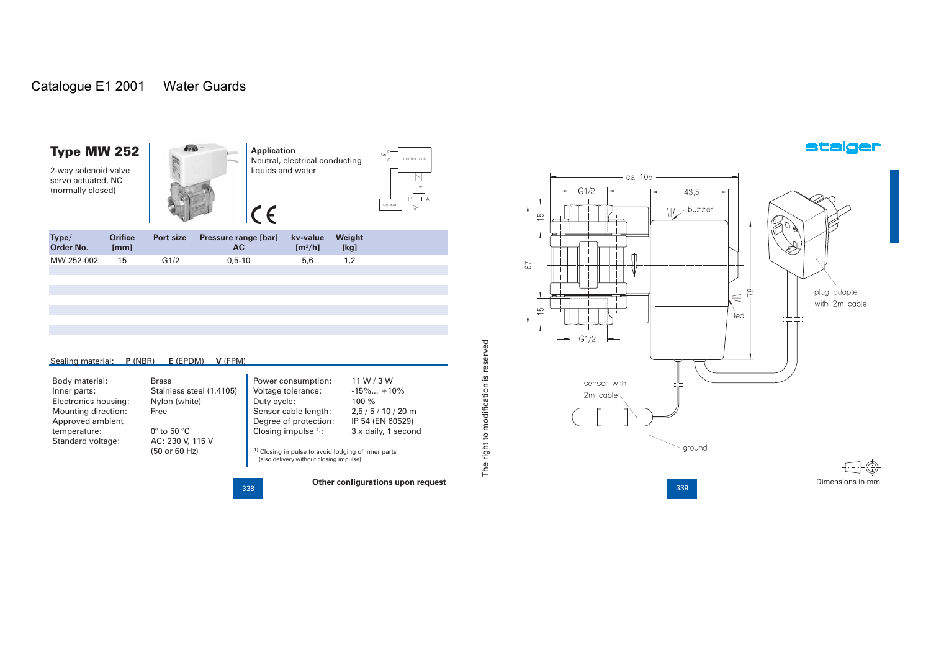### Catalogue E1 2001 Water Guards

### Type MW 252

2-way solenoid valve servo actuated, NC (normally closed)



| 15 | Type/<br>Order No. | <b>Orifice</b><br>[mm] | <b>Port size</b> | <b>Pressure range [bar]</b><br>AC. | kv-value<br>$\mathrm{Im}^3/\mathrm{hl}$ | Weight<br>[kq] |
|----|--------------------|------------------------|------------------|------------------------------------|-----------------------------------------|----------------|
|    | MW 252-002         |                        | G1/2             | $0.5 - 10$                         | 5.6                                     |                |

| Sealing material:<br>P (NBR)<br>$E$ (EPDM)<br>V (FPM) |                            |                                                                                                          |                     |  |  |  |  |  |  |
|-------------------------------------------------------|----------------------------|----------------------------------------------------------------------------------------------------------|---------------------|--|--|--|--|--|--|
| Body material:                                        | <b>Brass</b>               | Power consumption:                                                                                       | 11W/3W              |  |  |  |  |  |  |
| Inner parts:                                          | Stainless steel (1.4105)   | Voltage tolerance:                                                                                       | $-15\%+10\%$        |  |  |  |  |  |  |
| Electronics housing:                                  | Nylon (white)              | Duty cycle:                                                                                              | $100 \%$            |  |  |  |  |  |  |
| Mounting direction:                                   | Free                       | Sensor cable length:                                                                                     | $2,5/5/10/20$ m     |  |  |  |  |  |  |
| Approved ambient                                      |                            | Degree of protection:                                                                                    | IP 54 (EN 60529)    |  |  |  |  |  |  |
| temperature:                                          | $0^\circ$ to 50 $^\circ$ C | Closing impulse $1$ :                                                                                    | 3 x daily, 1 second |  |  |  |  |  |  |
| Standard voltage:                                     | AC: 230 V, 115 V           |                                                                                                          |                     |  |  |  |  |  |  |
|                                                       | (50 or 60 Hz)              | <sup>1)</sup> Closing impulse to avoid lodging of inner parts<br>(also delivery without closing impulse) |                     |  |  |  |  |  |  |

338 338

control uni

sensor

 $\vdash$ 

The right to modification is reserved

The right to modification is reserved

 $\left[\right] \leq \frac{1}{n}$ plug adapter with 2m cable led  $G1/2$  $\overline{\phantom{a}}$ sensor with 2m cable

ground **Other configurations upon request** Dimensions in mm

339

 $-$  ca. 105  $-$ 

 $-43.5 -$ 

 $\frac{1}{2}$  buzzer

 $G1/2$ 

 $\frac{1}{10}$ 

 $\frac{10}{10}$ 

 $67$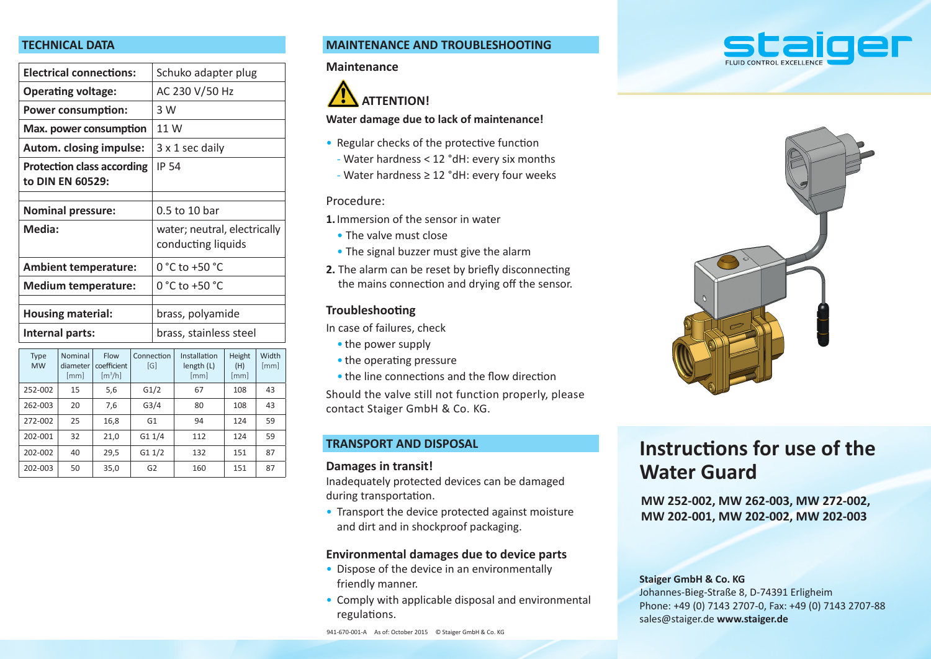#### **TECHNICAL DATA**

| <b>Electrical connections:</b>                        |                             |                                              | Schuko adapter plug    |                                                    |                                    |                       |               |  |
|-------------------------------------------------------|-----------------------------|----------------------------------------------|------------------------|----------------------------------------------------|------------------------------------|-----------------------|---------------|--|
| <b>Operating voltage:</b>                             |                             |                                              |                        | AC 230 V/50 Hz                                     |                                    |                       |               |  |
| <b>Power consumption:</b>                             |                             |                                              |                        | 3 W                                                |                                    |                       |               |  |
| Max. power consumption                                |                             |                                              |                        | 11 W                                               |                                    |                       |               |  |
| Autom. closing impulse:                               |                             |                                              |                        | 3 x 1 sec daily                                    |                                    |                       |               |  |
| <b>Protection class according</b><br>to DIN EN 60529: |                             |                                              |                        | <b>IP 54</b>                                       |                                    |                       |               |  |
| <b>Nominal pressure:</b>                              |                             |                                              | 0.5 to 10 bar          |                                                    |                                    |                       |               |  |
| Media:                                                |                             |                                              |                        | water; neutral, electrically<br>conducting liquids |                                    |                       |               |  |
| <b>Ambient temperature:</b>                           |                             |                                              | $0 °C$ to +50 $°C$     |                                                    |                                    |                       |               |  |
| <b>Medium temperature:</b>                            |                             |                                              | $0 °C$ to +50 $°C$     |                                                    |                                    |                       |               |  |
|                                                       |                             |                                              |                        |                                                    |                                    |                       |               |  |
| <b>Housing material:</b>                              |                             |                                              | brass, polyamide       |                                                    |                                    |                       |               |  |
| Internal parts:                                       |                             |                                              | brass, stainless steel |                                                    |                                    |                       |               |  |
| Type<br><b>MW</b>                                     | Nominal<br>diameter<br>[mm] | Flow<br>coefficient<br>$\lceil m^3/h \rceil$ | Connection<br>[G]      |                                                    | Installation<br>length (L)<br>[mm] | Height<br>(H)<br>[mm] | Width<br>[mm] |  |
| 252-002                                               | 15                          | 5,6                                          | G1/2                   |                                                    | 67                                 | 108                   | 43            |  |
| 262-003                                               | 20                          | 7,6                                          | G <sub>3/4</sub>       |                                                    | 80                                 | 108                   | 43            |  |
| 272-002                                               | 25                          | 16,8                                         | G1                     |                                                    | 94                                 | 124                   | 59            |  |

202-001 32 21,0 G1 1/4 112 124 59 202-002 | 40 | 29,5 | G1 1/2 | 132 | 151 | 87 202-003 | 50 | 35,0 | G2 | 160 | 151 | 87

#### **MAINTENANCE AND TROUBLESHOOTING**

#### **Maintenance**



#### **Water damage due to lack of maintenance!**

- Regular checks of the protective function
	- Water hardness < 12 °dH: every six months
- Water hardness ≥ 12 °dH: every four weeks

#### Procedure:

**1.** Immersion of the sensor in water

- The valve must close
- The signal buzzer must give the alarm
- **2.** The alarm can be reset by briefly disconnecting the mains connection and drying off the sensor.

#### **Troubleshooting**

In case of failures, check

- the power supply
- the operating pressure
- $\bullet$  the line connections and the flow direction

Should the valve still not function properly, please contact Staiger GmbH & Co. KG.

#### **TRANSPORT AND DISPOSAL**

#### **Damages in transit!**

Inadequately protected devices can be damaged during transportation.

• Transport the device protected against moisture and dirt and in shockproof packaging.

#### **Environmental damages due to device parts**

- Dispose of the device in an environmentally friendly manner.
- Comply with applicable disposal and environmental regulations.

# staiger



### **Instructions for use of the Water Guard**

**MW 252-002, MW 262-003, MW 272-002, MW 202-001, MW 202-002, MW 202-003**

**Staiger GmbH & Co. KG**

Johannes-Bieg-Straße 8, D-74391 Erligheim Phone: +49 (0) 7143 2707-0, Fax: +49 (0) 7143 2707-88 sales@staiger.de **www.staiger.de**